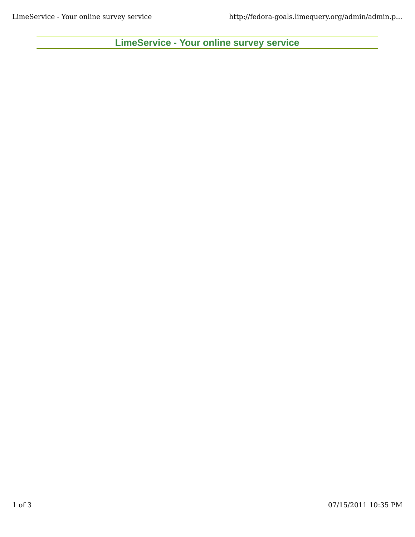**LimeService - Your online survey service**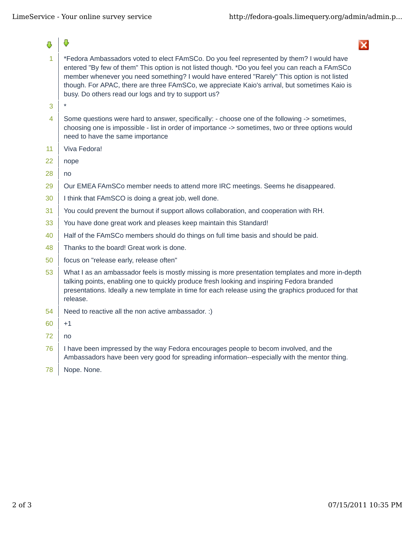8

 $\overline{\mathbf{x}}$ 

- $1$   $\overline{\phantom{a}}$  \*Fedora Ambassadors voted to elect FAmSCo. Do you feel represented by them? I would have entered "By few of them" This option is not listed though. \*Do you feel you can reach a FAmSCo member whenever you need something? I would have entered "Rarely" This option is not listed though. For APAC, there are three FAmSCo, we appreciate Kaio's arrival, but sometimes Kaio is busy. Do others read our logs and try to support us?
- $3$   $*$

Ō,

- 4 Some questions were hard to answer, specifically:  $\cdot$  choose one of the following  $\cdot$  > sometimes, choosing one is impossible - list in order of importance -> sometimes, two or three options would need to have the same importance
- 11 | Viva Fedora!
- 22 nope
- 28 no
- 29  $\mid$  Our EMEA FAmSCo member needs to attend more IRC meetings. Seems he disappeared.
- $30$  | I think that FAmSCO is doing a great job, well done.
- $31$  You could prevent the burnout if support allows collaboration, and cooperation with RH.
- $33$  You have done great work and pleases keep maintain this Standard!
- 40 | Half of the FAmSCo members should do things on full time basis and should be paid.
- 48 Thanks to the board! Great work is done.
- 50 focus on "release early, release often"
- 53 What I as an ambassador feels is mostly missing is more presentation templates and more in-depth talking points, enabling one to quickly produce fresh looking and inspiring Fedora branded presentations. Ideally a new template in time for each release using the graphics produced for that release.
- 54 Need to reactive all the non active ambassador. :)
- 60  $+1$
- 72 no
- 76 I have been impressed by the way Fedora encourages people to becom involved, and the Ambassadors have been very good for spreading information--especially with the mentor thing.
- 78 Nope. None.